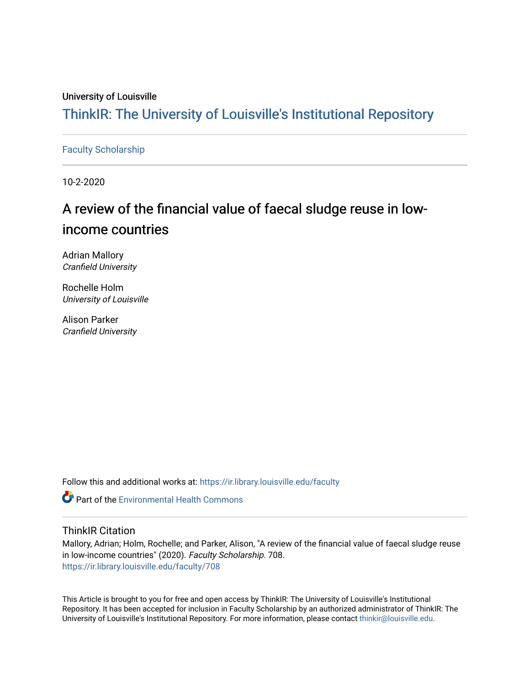# University of Louisville

# ThinkIR: The Univ[ersity of Louisville's Institutional Reposit](https://ir.library.louisville.edu/)ory

# [Faculty Scholarship](https://ir.library.louisville.edu/faculty)

10-2-2020

# A review of the financial value of faecal sludge reuse in lowincome countries

Adrian Mallory Cranfield University

Rochelle Holm University of Louisville

Alison Parker Cranfield University

Follow this and additional works at: [https://ir.library.louisville.edu/faculty](https://ir.library.louisville.edu/faculty?utm_source=ir.library.louisville.edu%2Ffaculty%2F708&utm_medium=PDF&utm_campaign=PDFCoverPages)

**C** Part of the [Environmental Health Commons](http://network.bepress.com/hgg/discipline/64?utm_source=ir.library.louisville.edu%2Ffaculty%2F708&utm_medium=PDF&utm_campaign=PDFCoverPages)

# ThinkIR Citation

Mallory, Adrian; Holm, Rochelle; and Parker, Alison, "A review of the financial value of faecal sludge reuse in low-income countries" (2020). Faculty Scholarship. 708. [https://ir.library.louisville.edu/faculty/708](https://ir.library.louisville.edu/faculty/708?utm_source=ir.library.louisville.edu%2Ffaculty%2F708&utm_medium=PDF&utm_campaign=PDFCoverPages) 

This Article is brought to you for free and open access by ThinkIR: The University of Louisville's Institutional Repository. It has been accepted for inclusion in Faculty Scholarship by an authorized administrator of ThinkIR: The University of Louisville's Institutional Repository. For more information, please contact [thinkir@louisville.edu](mailto:thinkir@louisville.edu).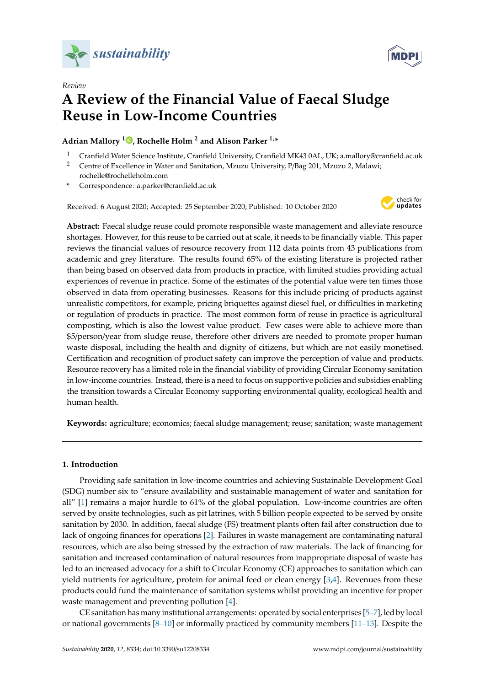

*Review*



# **A Review of the Financial Value of Faecal Sludge Reuse in Low-Income Countries**

**Adrian Mallory <sup>1</sup> [,](https://orcid.org/0000-0002-8578-3328) Rochelle Holm <sup>2</sup> and Alison Parker 1,\***

- <sup>1</sup> Cranfield Water Science Institute, Cranfield University, Cranfield MK43 0AL, UK; a.mallory@cranfield.ac.uk
- <sup>2</sup> Centre of Excellence in Water and Sanitation, Mzuzu University, P/Bag 201, Mzuzu 2, Malawi; rochelle@rochelleholm.com
- **\*** Correspondence: a.parker@cranfield.ac.uk

Received: 6 August 2020; Accepted: 25 September 2020; Published: 10 October 2020



**Abstract:** Faecal sludge reuse could promote responsible waste management and alleviate resource shortages. However, for this reuse to be carried out at scale, it needs to be financially viable. This paper reviews the financial values of resource recovery from 112 data points from 43 publications from academic and grey literature. The results found 65% of the existing literature is projected rather than being based on observed data from products in practice, with limited studies providing actual experiences of revenue in practice. Some of the estimates of the potential value were ten times those observed in data from operating businesses. Reasons for this include pricing of products against unrealistic competitors, for example, pricing briquettes against diesel fuel, or difficulties in marketing or regulation of products in practice. The most common form of reuse in practice is agricultural composting, which is also the lowest value product. Few cases were able to achieve more than \$5/person/year from sludge reuse, therefore other drivers are needed to promote proper human waste disposal, including the health and dignity of citizens, but which are not easily monetised. Certification and recognition of product safety can improve the perception of value and products. Resource recovery has a limited role in the financial viability of providing Circular Economy sanitation in low-income countries. Instead, there is a need to focus on supportive policies and subsidies enabling the transition towards a Circular Economy supporting environmental quality, ecological health and human health.

**Keywords:** agriculture; economics; faecal sludge management; reuse; sanitation; waste management

### **1. Introduction**

Providing safe sanitation in low-income countries and achieving Sustainable Development Goal (SDG) number six to "ensure availability and sustainable management of water and sanitation for all" [\[1\]](#page-10-0) remains a major hurdle to 61% of the global population. Low-income countries are often served by onsite technologies, such as pit latrines, with 5 billion people expected to be served by onsite sanitation by 2030. In addition, faecal sludge (FS) treatment plants often fail after construction due to lack of ongoing finances for operations [\[2\]](#page-10-1). Failures in waste management are contaminating natural resources, which are also being stressed by the extraction of raw materials. The lack of financing for sanitation and increased contamination of natural resources from inappropriate disposal of waste has led to an increased advocacy for a shift to Circular Economy (CE) approaches to sanitation which can yield nutrients for agriculture, protein for animal feed or clean energy [\[3,](#page-10-2)[4\]](#page-10-3). Revenues from these products could fund the maintenance of sanitation systems whilst providing an incentive for proper waste management and preventing pollution [\[4\]](#page-10-3).

CE sanitation has many institutional arrangements: operated by social enterprises [\[5–](#page-10-4)[7\]](#page-10-5), led by local or national governments  $[8-10]$  $[8-10]$  or informally practiced by community members  $[11-13]$  $[11-13]$ . Despite the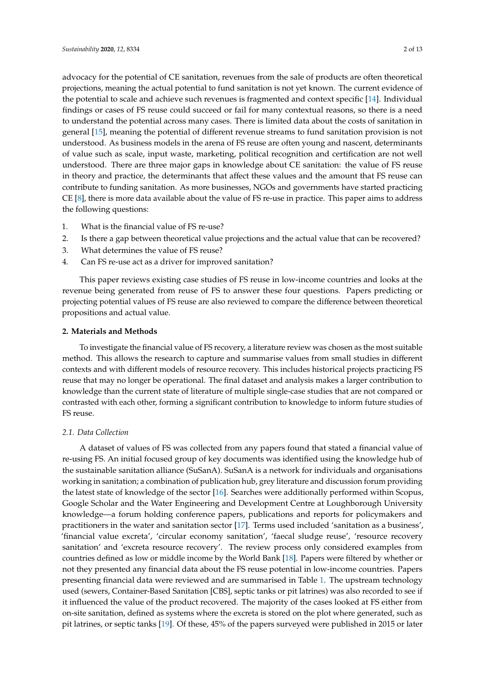advocacy for the potential of CE sanitation, revenues from the sale of products are often theoretical projections, meaning the actual potential to fund sanitation is not yet known. The current evidence of the potential to scale and achieve such revenues is fragmented and context specific [\[14\]](#page-10-10). Individual findings or cases of FS reuse could succeed or fail for many contextual reasons, so there is a need to understand the potential across many cases. There is limited data about the costs of sanitation in general [\[15\]](#page-10-11), meaning the potential of different revenue streams to fund sanitation provision is not understood. As business models in the arena of FS reuse are often young and nascent, determinants of value such as scale, input waste, marketing, political recognition and certification are not well understood. There are three major gaps in knowledge about CE sanitation: the value of FS reuse in theory and practice, the determinants that affect these values and the amount that FS reuse can contribute to funding sanitation. As more businesses, NGOs and governments have started practicing CE [\[8\]](#page-10-6), there is more data available about the value of FS re-use in practice. This paper aims to address the following questions:

- 1. What is the financial value of FS re-use?
- 2. Is there a gap between theoretical value projections and the actual value that can be recovered?
- 3. What determines the value of FS reuse?
- 4. Can FS re-use act as a driver for improved sanitation?

This paper reviews existing case studies of FS reuse in low-income countries and looks at the revenue being generated from reuse of FS to answer these four questions. Papers predicting or projecting potential values of FS reuse are also reviewed to compare the difference between theoretical propositions and actual value.

#### **2. Materials and Methods**

To investigate the financial value of FS recovery, a literature review was chosen as the most suitable method. This allows the research to capture and summarise values from small studies in different contexts and with different models of resource recovery. This includes historical projects practicing FS reuse that may no longer be operational. The final dataset and analysis makes a larger contribution to knowledge than the current state of literature of multiple single-case studies that are not compared or contrasted with each other, forming a significant contribution to knowledge to inform future studies of FS reuse.

#### *2.1. Data Collection*

A dataset of values of FS was collected from any papers found that stated a financial value of re-using FS. An initial focused group of key documents was identified using the knowledge hub of the sustainable sanitation alliance (SuSanA). SuSanA is a network for individuals and organisations working in sanitation; a combination of publication hub, grey literature and discussion forum providing the latest state of knowledge of the sector [\[16\]](#page-10-12). Searches were additionally performed within Scopus, Google Scholar and the Water Engineering and Development Centre at Loughborough University knowledge—a forum holding conference papers, publications and reports for policymakers and practitioners in the water and sanitation sector [\[17\]](#page-10-13). Terms used included 'sanitation as a business', 'financial value excreta', 'circular economy sanitation', 'faecal sludge reuse', 'resource recovery sanitation' and 'excreta resource recovery'. The review process only considered examples from countries defined as low or middle income by the World Bank [\[18\]](#page-11-0). Papers were filtered by whether or not they presented any financial data about the FS reuse potential in low-income countries. Papers presenting financial data were reviewed and are summarised in Table [1.](#page-3-0) The upstream technology used (sewers, Container-Based Sanitation [CBS], septic tanks or pit latrines) was also recorded to see if it influenced the value of the product recovered. The majority of the cases looked at FS either from on-site sanitation, defined as systems where the excreta is stored on the plot where generated, such as pit latrines, or septic tanks [\[19\]](#page-11-1). Of these, 45% of the papers surveyed were published in 2015 or later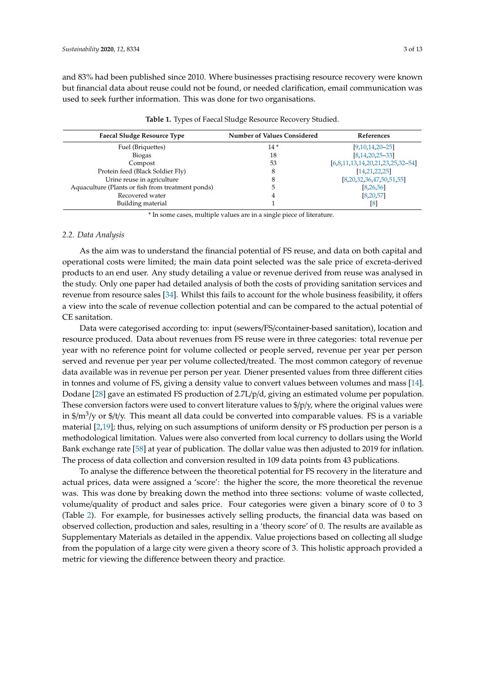and 83% had been published since 2010. Where businesses practising resource recovery were known but financial data about reuse could not be found, or needed clarification, email communication was used to seek further information. This was done for two organisations.

<span id="page-3-0"></span>

| <b>Faecal Sludge Resource Type</b>                | <b>Number of Values Considered</b> | References                         |  |
|---------------------------------------------------|------------------------------------|------------------------------------|--|
| Fuel (Briquettes)                                 | $14*$                              | $[9,10,14,20-25]$                  |  |
| <b>Biogas</b>                                     | 18                                 | $[8.14.20.25 - 33]$                |  |
| Compost                                           | 53                                 | $[6,8,11,13,14,20,21,23,25,32-54]$ |  |
| Protein feed (Black Soldier Fly)                  | 8                                  | [14, 21, 22, 25]                   |  |
| Urine reuse in agriculture                        | 8                                  | [8,20,32,36,47,50,51,55]           |  |
| Aquaculture (Plants or fish from treatment ponds) | 5                                  | [8, 26, 56]                        |  |
| Recovered water                                   |                                    | [8, 20, 57]                        |  |
| Building material                                 |                                    | [8]                                |  |

**Table 1.** Types of Faecal Sludge Resource Recovery Studied.

\* In some cases, multiple values are in a single piece of literature.

#### *2.2. Data Analysis*

As the aim was to understand the financial potential of FS reuse, and data on both capital and operational costs were limited; the main data point selected was the sale price of excreta-derived products to an end user. Any study detailing a value or revenue derived from reuse was analysed in the study. Only one paper had detailed analysis of both the costs of providing sanitation services and revenue from resource sales [\[34\]](#page-11-11). Whilst this fails to account for the whole business feasibility, it offers a view into the scale of revenue collection potential and can be compared to the actual potential of CE sanitation.

Data were categorised according to: input (sewers/FS/container-based sanitation), location and resource produced. Data about revenues from FS reuse were in three categories: total revenue per year with no reference point for volume collected or people served, revenue per year per person served and revenue per year per volume collected/treated. The most common category of revenue data available was in revenue per person per year. Diener presented values from three different cities in tonnes and volume of FS, giving a density value to convert values between volumes and mass [\[14\]](#page-10-10). Dodane [\[28\]](#page-11-12) gave an estimated FS production of 2.7L/p/d, giving an estimated volume per population. These conversion factors were used to convert literature values to \$/p/y, where the original values were in \$/m<sup>3</sup>/y or \$/t/y. This meant all data could be converted into comparable values. FS is a variable material [\[2](#page-10-1)[,19\]](#page-11-1); thus, relying on such assumptions of uniform density or FS production per person is a methodological limitation. Values were also converted from local currency to dollars using the World Bank exchange rate [\[58\]](#page-13-0) at year of publication. The dollar value was then adjusted to 2019 for inflation. The process of data collection and conversion resulted in 109 data points from 43 publications.

To analyse the difference between the theoretical potential for FS recovery in the literature and actual prices, data were assigned a 'score': the higher the score, the more theoretical the revenue was. This was done by breaking down the method into three sections: volume of waste collected, volume/quality of product and sales price. Four categories were given a binary score of 0 to 3 (Table [2\)](#page-4-0). For example, for businesses actively selling products, the financial data was based on observed collection, production and sales, resulting in a 'theory score' of 0. The results are available as Supplementary Materials as detailed in the appendix. Value projections based on collecting all sludge from the population of a large city were given a theory score of 3. This holistic approach provided a metric for viewing the difference between theory and practice.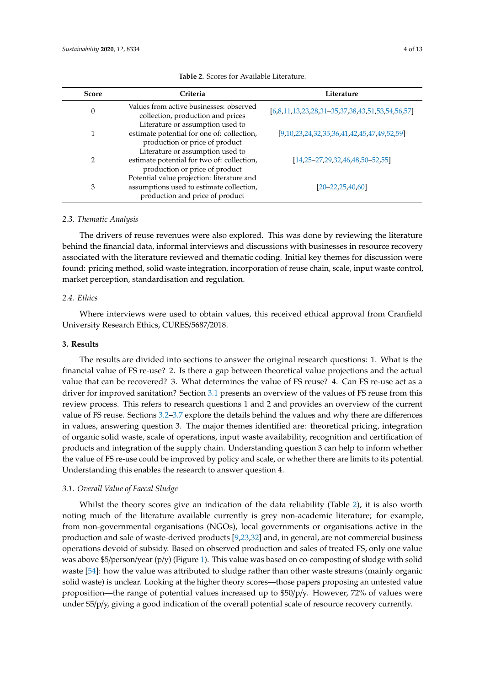<span id="page-4-0"></span>

| <b>Score</b> | Criteria                                                                                                                  | Literature                                        |
|--------------|---------------------------------------------------------------------------------------------------------------------------|---------------------------------------------------|
| $\theta$     | Values from active businesses: observed<br>collection, production and prices                                              | $[6,8,11,13,23,28,31-35,37,38,43,51,53,54,56,57]$ |
|              | Literature or assumption used to<br>estimate potential for one of: collection,<br>production or price of product          | $[9,10,23,24,32,35,36,41,42,45,47,49,52,59]$      |
| 2            | Literature or assumption used to<br>estimate potential for two of: collection,<br>production or price of product          | $[14, 25 - 27, 29, 32, 46, 48, 50 - 52, 55]$      |
| 3            | Potential value projection: literature and<br>assumptions used to estimate collection,<br>production and price of product | $[20 - 22, 25, 40, 60]$                           |

**Table 2.** Scores for Available Literature.

#### *2.3. Thematic Analysis*

The drivers of reuse revenues were also explored. This was done by reviewing the literature behind the financial data, informal interviews and discussions with businesses in resource recovery associated with the literature reviewed and thematic coding. Initial key themes for discussion were found: pricing method, solid waste integration, incorporation of reuse chain, scale, input waste control, market perception, standardisation and regulation.

## *2.4. Ethics*

Where interviews were used to obtain values, this received ethical approval from Cranfield University Research Ethics, CURES/5687/2018.

#### **3. Results**

The results are divided into sections to answer the original research questions: 1. What is the financial value of FS re-use? 2. Is there a gap between theoretical value projections and the actual value that can be recovered? 3. What determines the value of FS reuse? 4. Can FS re-use act as a driver for improved sanitation? Section [3.1](#page-4-1) presents an overview of the values of FS reuse from this review process. This refers to research questions 1 and 2 and provides an overview of the current value of FS reuse. Sections [3.2](#page-5-0)[–3.7](#page-7-0) explore the details behind the values and why there are differences in values, answering question 3. The major themes identified are: theoretical pricing, integration of organic solid waste, scale of operations, input waste availability, recognition and certification of products and integration of the supply chain. Understanding question 3 can help to inform whether the value of FS re-use could be improved by policy and scale, or whether there are limits to its potential. Understanding this enables the research to answer question 4.

#### <span id="page-4-1"></span>*3.1. Overall Value of Faecal Sludge*

Whilst the theory scores give an indication of the data reliability (Table [2\)](#page-4-0), it is also worth noting much of the literature available currently is grey non-academic literature; for example, from non-governmental organisations (NGOs), local governments or organisations active in the production and sale of waste-derived products [\[9,](#page-10-14)[23,](#page-11-6)[32\]](#page-11-7) and, in general, are not commercial business operations devoid of subsidy. Based on observed production and sales of treated FS, only one value was above \$5/person/year (p/y) (Figure [1\)](#page-5-1). This value was based on co-composting of sludge with solid waste [\[54\]](#page-12-0): how the value was attributed to sludge rather than other waste streams (mainly organic solid waste) is unclear. Looking at the higher theory scores—those papers proposing an untested value proposition—the range of potential values increased up to  $$50/p/y$ . However, 72% of values were under \$5/p/y, giving a good indication of the overall potential scale of resource recovery currently.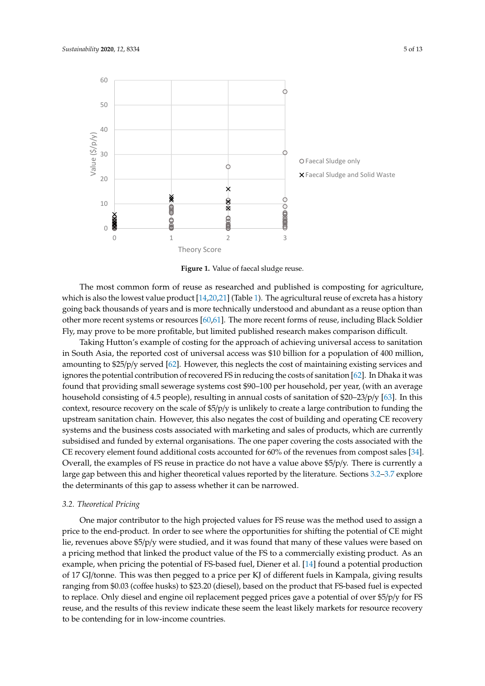<span id="page-5-1"></span>

**Figure 1.** Value of faecal sludge reuse.

which is also the lowest value product [\[14](#page-10-10)[,20](#page-11-2)[,21\]](#page-11-5) (Table [1\)](#page-3-0). The agricultural reuse of excreta has a history going back thousands of years and is more technically understood and abundant as a reuse option than other more recent systems or resources  $[60,61]$  $[60,61]$ . The more recent forms of reuse, including Black Soldier Fly, may prove to be more profitable, but limited published research makes comparison difficult. The most common form of reuse as researched and published is composting for agriculture,

Taking Hutton's example of costing for the approach of achieving universal access to sanitation in South Asia, the reported cost of universal access was \$10 billion for a population of 400 million, amounting to \$25/p/y served [\[62\]](#page-13-4). However, this neglects the cost of maintaining existing services and ignores the potential contribution of recovered FS in reducing the costs of sanitation [\[62\]](#page-13-4). In Dhaka it was found that providing small sewerage systems cost \$90–100 per household, per year, (with an average household consisting of 4.5 people), resulting in annual costs of sanitation of \$20–23/p/y [\[63\]](#page-13-5). In this context, resource recovery on the scale of \$5/p/y is unlikely to create a large contribution to funding the upstream sanitation chain. However, this also negates the cost of building and operating CE recovery systems and the business costs associated with marketing and sales of products, which are currently CE recovery element found additional costs accounted for 60% of the revenues from compost sales [\[34\]](#page-11-11). large gap between this and higher theoretical values reported by the literature. Sections  $3.2-3.7$  $3.2-3.7$  explore  $\frac{1}{2}$  be determinants of this can be assess whether it can be norwaysed the determinants of this gap to assess whether it can be narrowed. subsidised and funded by external organisations. The one paper covering the costs associated with the Overall, the examples of FS reuse in practice do not have a value above \$5/p/y. There is currently a

# <span id="page-5-0"></span>from FS but has not yet received permission from the government for sale thereof, meaning it *3.2. Theoretical Pricing*

effectively has no current financial value  $\frac{4}{3}$  as it is not approximately for reuse. Other studies have  $\frac{4}{3}$ One major contributor to the high projected values for FS reuse was the method used to assign a<br>
One major contributor to the high projected values for FS reuse was the method used to assign a price to the end-product. In order to see where the opportunities for shifting the potential of CE might lie, revenues above \$5/p/y were studied, and it was found that many of these values were based on a pricing method that linked the product value of the FS to a commercially existing product. As an example, when pricing the potential of FS-based fuel, Diener et al. [\[14\]](#page-10-10) found a potential production of regulation of  $\overline{C}$ of 17 GJ/tonne. This was then pegged to a price per KJ of different fuels in Kampala, giving results ranging from \$0.03 (coffee husks) to \$23.20 (diesel), based on the product that FS-based fuel is expected by  $\overline{R}$ to replace. Only diesel and engine oil replacement pegged prices gave a potential of over \$5/p/y for FS reuse, and the results of this review indicate these seem the least likely markets for resource recovery to be contending for in low-income countries.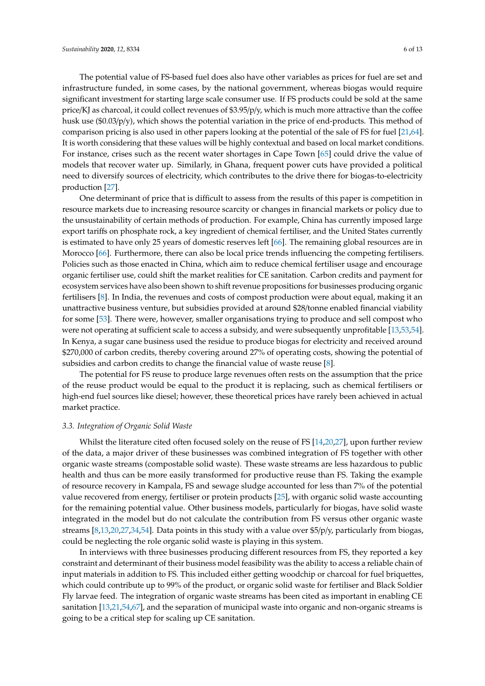The potential value of FS-based fuel does also have other variables as prices for fuel are set and infrastructure funded, in some cases, by the national government, whereas biogas would require significant investment for starting large scale consumer use. If FS products could be sold at the same price/KJ as charcoal, it could collect revenues of \$3.95/p/y, which is much more attractive than the coffee husk use (\$0.03/p/y), which shows the potential variation in the price of end-products. This method of comparison pricing is also used in other papers looking at the potential of the sale of FS for fuel [\[21](#page-11-5)[,64\]](#page-13-6). It is worth considering that these values will be highly contextual and based on local market conditions. For instance, crises such as the recent water shortages in Cape Town [\[65\]](#page-13-7) could drive the value of models that recover water up. Similarly, in Ghana, frequent power cuts have provided a political need to diversify sources of electricity, which contributes to the drive there for biogas-to-electricity production [\[27\]](#page-11-16).

One determinant of price that is difficult to assess from the results of this paper is competition in resource markets due to increasing resource scarcity or changes in financial markets or policy due to the unsustainability of certain methods of production. For example, China has currently imposed large export tariffs on phosphate rock, a key ingredient of chemical fertiliser, and the United States currently is estimated to have only 25 years of domestic reserves left [\[66\]](#page-13-8). The remaining global resources are in Morocco [\[66\]](#page-13-8). Furthermore, there can also be local price trends influencing the competing fertilisers. Policies such as those enacted in China, which aim to reduce chemical fertiliser usage and encourage organic fertiliser use, could shift the market realities for CE sanitation. Carbon credits and payment for ecosystem services have also been shown to shift revenue propositions for businesses producing organic fertilisers [\[8\]](#page-10-6). In India, the revenues and costs of compost production were about equal, making it an unattractive business venture, but subsidies provided at around \$28/tonne enabled financial viability for some [\[53\]](#page-12-10). There were, however, smaller organisations trying to produce and sell compost who were not operating at sufficient scale to access a subsidy, and were subsequently unprofitable [\[13](#page-10-9)[,53](#page-12-10)[,54\]](#page-12-0). In Kenya, a sugar cane business used the residue to produce biogas for electricity and received around \$270,000 of carbon credits, thereby covering around 27% of operating costs, showing the potential of subsidies and carbon credits to change the financial value of waste reuse [\[8\]](#page-10-6).

The potential for FS reuse to produce large revenues often rests on the assumption that the price of the reuse product would be equal to the product it is replacing, such as chemical fertilisers or high-end fuel sources like diesel; however, these theoretical prices have rarely been achieved in actual market practice.

#### *3.3. Integration of Organic Solid Waste*

Whilst the literature cited often focused solely on the reuse of FS [\[14,](#page-10-10)[20,](#page-11-2)[27\]](#page-11-16), upon further review of the data, a major driver of these businesses was combined integration of FS together with other organic waste streams (compostable solid waste). These waste streams are less hazardous to public health and thus can be more easily transformed for productive reuse than FS. Taking the example of resource recovery in Kampala, FS and sewage sludge accounted for less than 7% of the potential value recovered from energy, fertiliser or protein products [\[25\]](#page-11-3), with organic solid waste accounting for the remaining potential value. Other business models, particularly for biogas, have solid waste integrated in the model but do not calculate the contribution from FS versus other organic waste streams [\[8](#page-10-6)[,13](#page-10-9)[,20](#page-11-2)[,27](#page-11-16)[,34,](#page-11-11)[54\]](#page-12-0). Data points in this study with a value over \$5/p/y, particularly from biogas, could be neglecting the role organic solid waste is playing in this system.

In interviews with three businesses producing different resources from FS, they reported a key constraint and determinant of their business model feasibility was the ability to access a reliable chain of input materials in addition to FS. This included either getting woodchip or charcoal for fuel briquettes, which could contribute up to 99% of the product, or organic solid waste for fertiliser and Black Soldier Fly larvae feed. The integration of organic waste streams has been cited as important in enabling CE sanitation [\[13](#page-10-9)[,21](#page-11-5)[,54,](#page-12-0)[67\]](#page-13-9), and the separation of municipal waste into organic and non-organic streams is going to be a critical step for scaling up CE sanitation.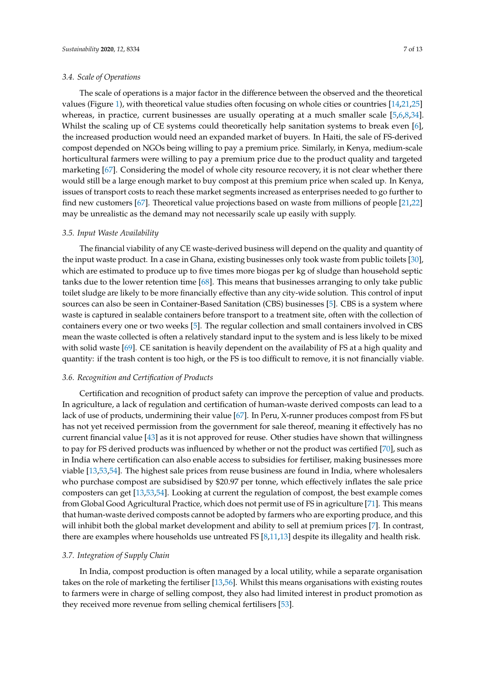#### *3.4. Scale of Operations*

The scale of operations is a major factor in the difference between the observed and the theoretical values (Figure [1\)](#page-5-1), with theoretical value studies often focusing on whole cities or countries [\[14](#page-10-10)[,21](#page-11-5)[,25\]](#page-11-3) whereas, in practice, current businesses are usually operating at a much smaller scale [\[5,](#page-10-4)[6,](#page-10-15)[8,](#page-10-6)[34\]](#page-11-11). Whilst the scaling up of CE systems could theoretically help sanitation systems to break even [\[6\]](#page-10-15), the increased production would need an expanded market of buyers. In Haiti, the sale of FS-derived compost depended on NGOs being willing to pay a premium price. Similarly, in Kenya, medium-scale horticultural farmers were willing to pay a premium price due to the product quality and targeted marketing [\[67\]](#page-13-9). Considering the model of whole city resource recovery, it is not clear whether there would still be a large enough market to buy compost at this premium price when scaled up. In Kenya, issues of transport costs to reach these market segments increased as enterprises needed to go further to find new customers [\[67\]](#page-13-9). Theoretical value projections based on waste from millions of people [\[21](#page-11-5)[,22\]](#page-11-8) may be unrealistic as the demand may not necessarily scale up easily with supply.

#### *3.5. Input Waste Availability*

The financial viability of any CE waste-derived business will depend on the quality and quantity of the input waste product. In a case in Ghana, existing businesses only took waste from public toilets [\[30\]](#page-11-18), which are estimated to produce up to five times more biogas per kg of sludge than household septic tanks due to the lower retention time [\[68\]](#page-13-10). This means that businesses arranging to only take public toilet sludge are likely to be more financially effective than any city-wide solution. This control of input sources can also be seen in Container-Based Sanitation (CBS) businesses [\[5\]](#page-10-4). CBS is a system where waste is captured in sealable containers before transport to a treatment site, often with the collection of containers every one or two weeks [\[5\]](#page-10-4). The regular collection and small containers involved in CBS mean the waste collected is often a relatively standard input to the system and is less likely to be mixed with solid waste [\[69\]](#page-13-11). CE sanitation is heavily dependent on the availability of FS at a high quality and quantity: if the trash content is too high, or the FS is too difficult to remove, it is not financially viable.

#### *3.6. Recognition and Certification of Products*

Certification and recognition of product safety can improve the perception of value and products. In agriculture, a lack of regulation and certification of human-waste derived composts can lead to a lack of use of products, undermining their value [\[67\]](#page-13-9). In Peru, X-runner produces compost from FS but has not yet received permission from the government for sale thereof, meaning it effectively has no current financial value [\[43\]](#page-12-9) as it is not approved for reuse. Other studies have shown that willingness to pay for FS derived products was influenced by whether or not the product was certified [\[70\]](#page-13-12), such as in India where certification can also enable access to subsidies for fertiliser, making businesses more viable [\[13](#page-10-9)[,53](#page-12-10)[,54\]](#page-12-0). The highest sale prices from reuse business are found in India, where wholesalers who purchase compost are subsidised by \$20.97 per tonne, which effectively inflates the sale price composters can get [\[13](#page-10-9)[,53](#page-12-10)[,54\]](#page-12-0). Looking at current the regulation of compost, the best example comes from Global Good Agricultural Practice, which does not permit use of FS in agriculture [\[71\]](#page-13-13). This means that human-waste derived composts cannot be adopted by farmers who are exporting produce, and this will inhibit both the global market development and ability to sell at premium prices [\[7\]](#page-10-5). In contrast, there are examples where households use untreated FS [\[8,](#page-10-6)[11,](#page-10-8)[13\]](#page-10-9) despite its illegality and health risk.

#### <span id="page-7-0"></span>*3.7. Integration of Supply Chain*

In India, compost production is often managed by a local utility, while a separate organisation takes on the role of marketing the fertiliser [\[13](#page-10-9)[,56\]](#page-12-5). Whilst this means organisations with existing routes to farmers were in charge of selling compost, they also had limited interest in product promotion as they received more revenue from selling chemical fertilisers [\[53\]](#page-12-10).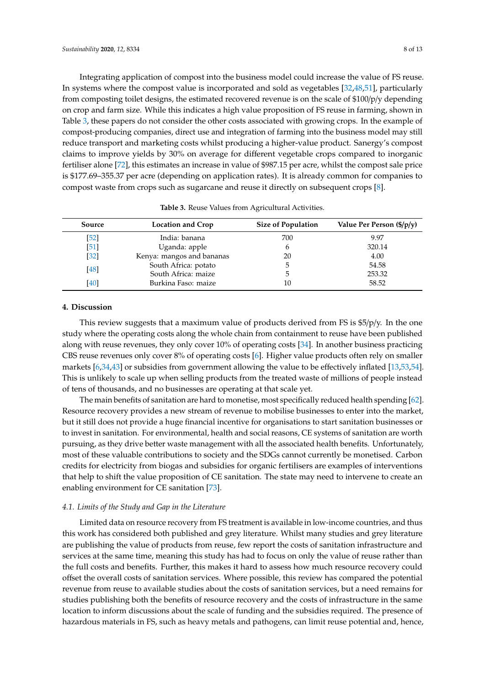Integrating application of compost into the business model could increase the value of FS reuse. In systems where the compost value is incorporated and sold as vegetables [\[32](#page-11-7)[,48,](#page-12-17)[51\]](#page-12-3), particularly from composting toilet designs, the estimated recovered revenue is on the scale of \$100/p/y depending on crop and farm size. While this indicates a high value proposition of FS reuse in farming, shown in Table [3,](#page-8-0) these papers do not consider the other costs associated with growing crops. In the example of compost-producing companies, direct use and integration of farming into the business model may still reduce transport and marketing costs whilst producing a higher-value product. Sanergy's compost claims to improve yields by 30% on average for different vegetable crops compared to inorganic fertiliser alone [\[72\]](#page-13-14), this estimates an increase in value of \$987.15 per acre, whilst the compost sale price is \$177.69–355.37 per acre (depending on application rates). It is already common for companies to compost waste from crops such as sugarcane and reuse it directly on subsequent crops [\[8\]](#page-10-6).

<span id="page-8-0"></span>

| Source | Location and Crop         | <b>Size of Population</b> | Value Per Person $(\frac{5}{p}\)$ |
|--------|---------------------------|---------------------------|-----------------------------------|
| $[52]$ | India: banana             | 700                       | 9.97                              |
| $[51]$ | Uganda: apple             | h                         | 320.14                            |
| $[32]$ | Kenya: mangos and bananas | 20                        | 4.00                              |
| [48]   | South Africa: potato      | 5                         | 54.58                             |
|        | South Africa: maize       | .h                        | 253.32                            |
| [40]   | Burkina Faso: maize       | 10                        | 58.52                             |

|  |  |  |  |  |  | <b>Table 3.</b> Reuse Values from Agricultural Activities. |
|--|--|--|--|--|--|------------------------------------------------------------|
|--|--|--|--|--|--|------------------------------------------------------------|

## **4. Discussion**

This review suggests that a maximum value of products derived from FS is \$5/p/y. In the one study where the operating costs along the whole chain from containment to reuse have been published along with reuse revenues, they only cover 10% of operating costs [\[34\]](#page-11-11). In another business practicing CBS reuse revenues only cover 8% of operating costs [\[6\]](#page-10-15). Higher value products often rely on smaller markets [\[6](#page-10-15)[,34](#page-11-11)[,43\]](#page-12-9) or subsidies from government allowing the value to be effectively inflated [\[13](#page-10-9)[,53](#page-12-10)[,54\]](#page-12-0). This is unlikely to scale up when selling products from the treated waste of millions of people instead of tens of thousands, and no businesses are operating at that scale yet.

The main benefits of sanitation are hard to monetise, most specifically reduced health spending [\[62\]](#page-13-4). Resource recovery provides a new stream of revenue to mobilise businesses to enter into the market, but it still does not provide a huge financial incentive for organisations to start sanitation businesses or to invest in sanitation. For environmental, health and social reasons, CE systems of sanitation are worth pursuing, as they drive better waste management with all the associated health benefits. Unfortunately, most of these valuable contributions to society and the SDGs cannot currently be monetised. Carbon credits for electricity from biogas and subsidies for organic fertilisers are examples of interventions that help to shift the value proposition of CE sanitation. The state may need to intervene to create an enabling environment for CE sanitation [\[73\]](#page-13-15).

#### *4.1. Limits of the Study and Gap in the Literature*

Limited data on resource recovery from FS treatment is available in low-income countries, and thus this work has considered both published and grey literature. Whilst many studies and grey literature are publishing the value of products from reuse, few report the costs of sanitation infrastructure and services at the same time, meaning this study has had to focus on only the value of reuse rather than the full costs and benefits. Further, this makes it hard to assess how much resource recovery could offset the overall costs of sanitation services. Where possible, this review has compared the potential revenue from reuse to available studies about the costs of sanitation services, but a need remains for studies publishing both the benefits of resource recovery and the costs of infrastructure in the same location to inform discussions about the scale of funding and the subsidies required. The presence of hazardous materials in FS, such as heavy metals and pathogens, can limit reuse potential and, hence,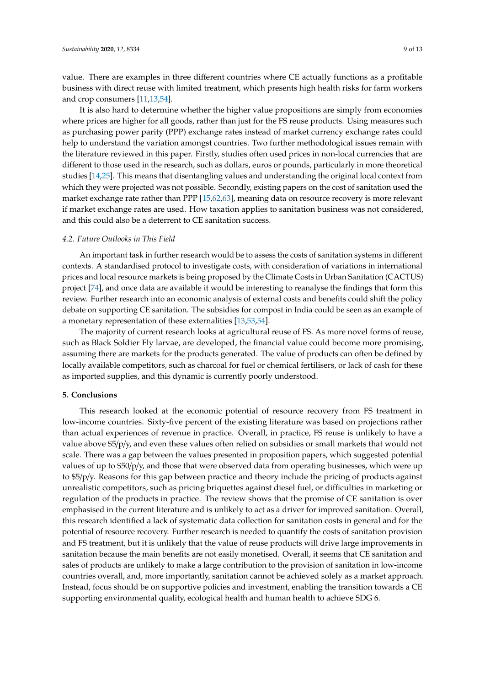value. There are examples in three different countries where CE actually functions as a profitable business with direct reuse with limited treatment, which presents high health risks for farm workers and crop consumers [\[11](#page-10-8)[,13](#page-10-9)[,54\]](#page-12-0).

It is also hard to determine whether the higher value propositions are simply from economies where prices are higher for all goods, rather than just for the FS reuse products. Using measures such as purchasing power parity (PPP) exchange rates instead of market currency exchange rates could help to understand the variation amongst countries. Two further methodological issues remain with the literature reviewed in this paper. Firstly, studies often used prices in non-local currencies that are different to those used in the research, such as dollars, euros or pounds, particularly in more theoretical studies [\[14,](#page-10-10)[25\]](#page-11-3). This means that disentangling values and understanding the original local context from which they were projected was not possible. Secondly, existing papers on the cost of sanitation used the market exchange rate rather than PPP [\[15](#page-10-11)[,62](#page-13-4)[,63\]](#page-13-5), meaning data on resource recovery is more relevant if market exchange rates are used. How taxation applies to sanitation business was not considered, and this could also be a deterrent to CE sanitation success.

#### *4.2. Future Outlooks in This Field*

An important task in further research would be to assess the costs of sanitation systems in different contexts. A standardised protocol to investigate costs, with consideration of variations in international prices and local resource markets is being proposed by the Climate Costs in Urban Sanitation (CACTUS) project [\[74\]](#page-13-16), and once data are available it would be interesting to reanalyse the findings that form this review. Further research into an economic analysis of external costs and benefits could shift the policy debate on supporting CE sanitation. The subsidies for compost in India could be seen as an example of a monetary representation of these externalities [\[13](#page-10-9)[,53](#page-12-10)[,54\]](#page-12-0).

The majority of current research looks at agricultural reuse of FS. As more novel forms of reuse, such as Black Soldier Fly larvae, are developed, the financial value could become more promising, assuming there are markets for the products generated. The value of products can often be defined by locally available competitors, such as charcoal for fuel or chemical fertilisers, or lack of cash for these as imported supplies, and this dynamic is currently poorly understood.

#### **5. Conclusions**

This research looked at the economic potential of resource recovery from FS treatment in low-income countries. Sixty-five percent of the existing literature was based on projections rather than actual experiences of revenue in practice. Overall, in practice, FS reuse is unlikely to have a value above \$5/p/y, and even these values often relied on subsidies or small markets that would not scale. There was a gap between the values presented in proposition papers, which suggested potential values of up to \$50/p/y, and those that were observed data from operating businesses, which were up to \$5/p/y. Reasons for this gap between practice and theory include the pricing of products against unrealistic competitors, such as pricing briquettes against diesel fuel, or difficulties in marketing or regulation of the products in practice. The review shows that the promise of CE sanitation is over emphasised in the current literature and is unlikely to act as a driver for improved sanitation. Overall, this research identified a lack of systematic data collection for sanitation costs in general and for the potential of resource recovery. Further research is needed to quantify the costs of sanitation provision and FS treatment, but it is unlikely that the value of reuse products will drive large improvements in sanitation because the main benefits are not easily monetised. Overall, it seems that CE sanitation and sales of products are unlikely to make a large contribution to the provision of sanitation in low-income countries overall, and, more importantly, sanitation cannot be achieved solely as a market approach. Instead, focus should be on supportive policies and investment, enabling the transition towards a CE supporting environmental quality, ecological health and human health to achieve SDG 6.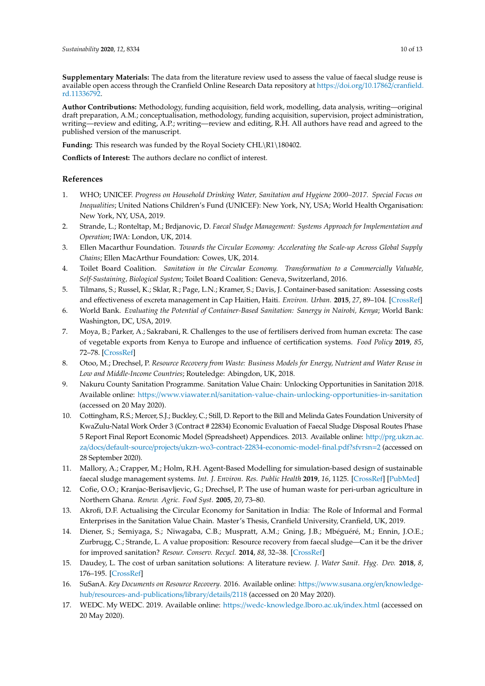**Supplementary Materials:** The data from the literature review used to assess the value of faecal sludge reuse is available open access through the Cranfield Online Research Data repository at https://doi.org/10.17862/[cranfield.](https://doi.org/10.17862/cranfield.rd.11336792) [rd.11336792.](https://doi.org/10.17862/cranfield.rd.11336792)

**Author Contributions:** Methodology, funding acquisition, field work, modelling, data analysis, writing—original draft preparation, A.M.; conceptualisation, methodology, funding acquisition, supervision, project administration, writing—review and editing, A.P.; writing—review and editing, R.H. All authors have read and agreed to the published version of the manuscript.

**Funding:** This research was funded by the Royal Society CHL\R1\180402.

**Conflicts of Interest:** The authors declare no conflict of interest.

### **References**

- <span id="page-10-0"></span>1. WHO; UNICEF. *Progress on Household Drinking Water, Sanitation and Hygiene 2000–2017. Special Focus on Inequalities*; United Nations Children's Fund (UNICEF): New York, NY, USA; World Health Organisation: New York, NY, USA, 2019.
- <span id="page-10-1"></span>2. Strande, L.; Ronteltap, M.; Brdjanovic, D. *Faecal Sludge Management: Systems Approach for Implementation and Operation*; IWA: London, UK, 2014.
- <span id="page-10-2"></span>3. Ellen Macarthur Foundation. *Towards the Circular Economy: Accelerating the Scale-up Across Global Supply Chains*; Ellen MacArthur Foundation: Cowes, UK, 2014.
- <span id="page-10-3"></span>4. Toilet Board Coalition. *Sanitation in the Circular Economy. Transformation to a Commercially Valuable, Self-Sustaining, Biological System*; Toilet Board Coalition: Geneva, Switzerland, 2016.
- <span id="page-10-4"></span>5. Tilmans, S.; Russel, K.; Sklar, R.; Page, L.N.; Kramer, S.; Davis, J. Container-based sanitation: Assessing costs and effectiveness of excreta management in Cap Haitien, Haiti. *Environ. Urban.* **2015**, *27*, 89–104. [\[CrossRef\]](http://dx.doi.org/10.1177/0956247815572746)
- <span id="page-10-15"></span>6. World Bank. *Evaluating the Potential of Container-Based Sanitation: Sanergy in Nairobi, Kenya*; World Bank: Washington, DC, USA, 2019.
- <span id="page-10-5"></span>7. Moya, B.; Parker, A.; Sakrabani, R. Challenges to the use of fertilisers derived from human excreta: The case of vegetable exports from Kenya to Europe and influence of certification systems. *Food Policy* **2019**, *85*, 72–78. [\[CrossRef\]](http://dx.doi.org/10.1016/j.foodpol.2019.05.001)
- <span id="page-10-6"></span>8. Otoo, M.; Drechsel, P. *Resource Recovery from Waste: Business Models for Energy, Nutrient and Water Reuse in Low and Middle-Income Countries*; Routeledge: Abingdon, UK, 2018.
- <span id="page-10-14"></span>9. Nakuru County Sanitation Programme. Sanitation Value Chain: Unlocking Opportunities in Sanitation 2018. Available online: https://www.viawater.nl/[sanitation-value-chain-unlocking-opportunities-in-sanitation](https://www.viawater.nl/sanitation-value-chain-unlocking-opportunities-in-sanitation) (accessed on 20 May 2020).
- <span id="page-10-7"></span>10. Cottingham, R.S.; Mercer, S.J.; Buckley, C.; Still, D. Report to the Bill and Melinda Gates Foundation University of KwaZulu-Natal Work Order 3 (Contract # 22834) Economic Evaluation of Faecal Sludge Disposal Routes Phase 5 Report Final Report Economic Model (Spreadsheet) Appendices. 2013. Available online: http://[prg.ukzn.ac.](http://prg.ukzn.ac.za/docs/default-source/projects/ukzn-wo3-contract-22834-economic-model-final.pdf?sfvrsn=2) za/docs/default-source/projects/[ukzn-wo3-contract-22834-economic-model-final.pdf?sfvrsn](http://prg.ukzn.ac.za/docs/default-source/projects/ukzn-wo3-contract-22834-economic-model-final.pdf?sfvrsn=2)=2 (accessed on 28 September 2020).
- <span id="page-10-8"></span>11. Mallory, A.; Crapper, M.; Holm, R.H. Agent-Based Modelling for simulation-based design of sustainable faecal sludge management systems. *Int. J. Environ. Res. Public Health* **2019**, *16*, 1125. [\[CrossRef\]](http://dx.doi.org/10.3390/ijerph16071125) [\[PubMed\]](http://www.ncbi.nlm.nih.gov/pubmed/30925829)
- 12. Cofie, O.O.; Kranjac-Berisavljevic, G.; Drechsel, P. The use of human waste for peri-urban agriculture in Northern Ghana. *Renew. Agric. Food Syst.* **2005**, *20*, 73–80.
- <span id="page-10-9"></span>13. Akrofi, D.F. Actualising the Circular Economy for Sanitation in India: The Role of Informal and Formal Enterprises in the Sanitation Value Chain. Master's Thesis, Cranfield University, Cranfield, UK, 2019.
- <span id="page-10-10"></span>14. Diener, S.; Semiyaga, S.; Niwagaba, C.B.; Muspratt, A.M.; Gning, J.B.; Mbéguéré, M.; Ennin, J.O.E.; Zurbrugg, C.; Strande, L. A value proposition: Resource recovery from faecal sludge—Can it be the driver for improved sanitation? *Resour. Conserv. Recycl.* **2014**, *88*, 32–38. [\[CrossRef\]](http://dx.doi.org/10.1016/j.resconrec.2014.04.005)
- <span id="page-10-11"></span>15. Daudey, L. The cost of urban sanitation solutions: A literature review. *J. Water Sanit. Hyg. Dev.* **2018**, *8*, 176–195. [\[CrossRef\]](http://dx.doi.org/10.2166/washdev.2017.058)
- <span id="page-10-12"></span>16. SuSanA. *Key Documents on Resource Recovery*. 2016. Available online: https://[www.susana.org](https://www.susana.org/en/knowledge-hub/resources-and-publications/library/details/2118)/en/knowledgehub/[resources-and-publications](https://www.susana.org/en/knowledge-hub/resources-and-publications/library/details/2118)/library/details/2118 (accessed on 20 May 2020).
- <span id="page-10-13"></span>17. WEDC. My WEDC. 2019. Available online: https://[wedc-knowledge.lboro.ac.uk](https://wedc-knowledge.lboro.ac.uk/index.html)/index.html (accessed on 20 May 2020).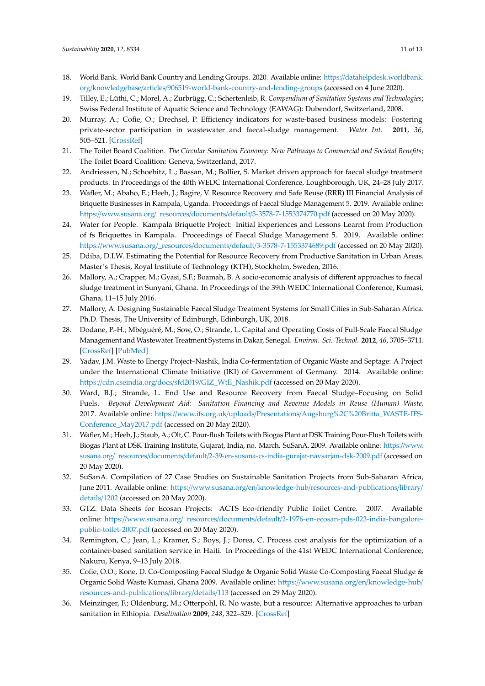- <span id="page-11-0"></span>18. World Bank. World Bank Country and Lending Groups. 2020. Available online: https://[datahelpdesk.worldbank.](https://datahelpdesk.worldbank.org/knowledgebase/articles/906519-world-bank-country-and-lending-groups) org/knowledgebase/articles/[906519-world-bank-country-and-lending-groups](https://datahelpdesk.worldbank.org/knowledgebase/articles/906519-world-bank-country-and-lending-groups) (accessed on 4 June 2020).
- <span id="page-11-1"></span>19. Tilley, E.; Lüthi, C.; Morel, A.; Zurbrügg, C.; Schertenleib, R. *Compendium of Sanitation Systems and Technologies*; Swiss Federal Institute of Aquatic Science and Technology (EAWAG): Dubendorf, Switzerland, 2008.
- <span id="page-11-2"></span>20. Murray, A.; Cofie, O.; Drechsel, P. Efficiency indicators for waste-based business models: Fostering private-sector participation in wastewater and faecal-sludge management. *Water Int.* **2011**, *36*, 505–521. [\[CrossRef\]](http://dx.doi.org/10.1080/02508060.2011.594983)
- <span id="page-11-5"></span>21. The Toilet Board Coalition. *The Circular Sanitation Economy: New Pathways to Commercial and Societal Benefits*; The Toilet Board Coalition: Geneva, Switzerland, 2017.
- <span id="page-11-8"></span>22. Andriessen, N.; Schoebitz, L.; Bassan, M.; Bollier, S. Market driven approach for faecal sludge treatment products. In Proceedings of the 40th WEDC International Conference, Loughborough, UK, 24–28 July 2017.
- <span id="page-11-6"></span>23. Wafler, M.; Abaho, E.; Heeb, J.; Bagire, V. Resource Recovery and Safe Reuse (RRR) III Financial Analysis of Briquette Businesses in Kampala, Uganda. Proceedings of Faecal Sludge Management 5. 2019. Available online: https://www.susana.org/\_resources/documents/default/[3-3578-7-1553374770.pdf](https://www.susana.org/_resources/documents/default/3-3578-7-1553374770.pdf) (accessed on 20 May 2020).
- <span id="page-11-15"></span>24. Water for People. Kampala Briquette Project: Initial Experiences and Lessons Learnt from Production of fs Briquettes in Kampala. Proceedings of Faecal Sludge Management 5. 2019. Available online: https://www.susana.org/\_resources/documents/default/[3-3578-7-1553374689.pdf](https://www.susana.org/_resources/documents/default/3-3578-7-1553374689.pdf) (accessed on 20 May 2020).
- <span id="page-11-3"></span>25. Ddiba, D.I.W. Estimating the Potential for Resource Recovery from Productive Sanitation in Urban Areas. Master's Thesis, Royal Institute of Technology (KTH), Stockholm, Sweden, 2016.
- <span id="page-11-10"></span>26. Mallory, A.; Crapper, M.; Gyasi, S.F.; Boamah, B. A socio-economic analysis of different approaches to faecal sludge treatment in Sunyani, Ghana. In Proceedings of the 39th WEDC International Conference, Kumasi, Ghana, 11–15 July 2016.
- <span id="page-11-16"></span>27. Mallory, A. Designing Sustainable Faecal Sludge Treatment Systems for Small Cities in Sub-Saharan Africa. Ph.D. Thesis, The University of Edinburgh, Edinburgh, UK, 2018.
- <span id="page-11-12"></span>28. Dodane, P.-H.; Mbéguéré, M.; Sow, O.; Strande, L. Capital and Operating Costs of Full-Scale Faecal Sludge Management and Wastewater Treatment Systems in Dakar, Senegal. *Environ. Sci. Technol.* **2012**, *46*, 3705–3711. [\[CrossRef\]](http://dx.doi.org/10.1021/es2045234) [\[PubMed\]](http://www.ncbi.nlm.nih.gov/pubmed/22413875)
- <span id="page-11-17"></span>29. Yadav, J.M. Waste to Energy Project–Nashik, India Co-fermentation of Organic Waste and Septage: A Project under the International Climate Initiative (IKI) of Government of Germany. 2014. Available online: https://cdn.cseindia.org/docs/sfd2019/[GIZ\\_WtE\\_Nashik.pdf](https://cdn.cseindia.org/docs/sfd2019/GIZ_WtE_Nashik.pdf) (accessed on 20 May 2020).
- <span id="page-11-18"></span>30. Ward, B.J.; Strande, L. End Use and Resource Recovery from Faecal Sludge–Focusing on Solid Fuels. *Beyond Development Aid: Sanitation Financing and Revenue Models in Reuse (Human) Waste*. 2017. Available online: https://www.ifs.org.uk/uploads/Presentations/[Augsburg%2C%20Britta\\_WASTE-IFS-](https://www.ifs.org.uk/uploads/Presentations/Augsburg%2C%20Britta_WASTE-IFS-Conference_May2017.pdf)[Conference\\_May2017.pdf](https://www.ifs.org.uk/uploads/Presentations/Augsburg%2C%20Britta_WASTE-IFS-Conference_May2017.pdf) (accessed on 20 May 2020).
- <span id="page-11-13"></span>31. Wafler, M.; Heeb, J.; Staub, A.; Olt, C. Pour-flush Toilets with Biogas Plant at DSK Training Pour-Flush Toilets with Biogas Plant at DSK Training Institute, Gujarat, India, no. March. SuSanA. 2009. Available online: https://[www.](https://www.susana.org/_resources/documents/default/2-39-en-susana-cs-india-gurajat-navsarjan-dsk-2009.pdf) susana.org/\_resources/documents/default/[2-39-en-susana-cs-india-gurajat-navsarjan-dsk-2009.pdf](https://www.susana.org/_resources/documents/default/2-39-en-susana-cs-india-gurajat-navsarjan-dsk-2009.pdf) (accessed on 20 May 2020).
- <span id="page-11-7"></span>32. SuSanA. Compilation of 27 Case Studies on Sustainable Sanitation Projects from Sub-Saharan Africa, June 2011. Available online: https://www.susana.org/en/knowledge-hub/[resources-and-publications](https://www.susana.org/en/knowledge-hub/resources-and-publications/library/details/1202)/library/ [details](https://www.susana.org/en/knowledge-hub/resources-and-publications/library/details/1202)/1202 (accessed on 20 May 2020).
- <span id="page-11-4"></span>33. GTZ. Data Sheets for Ecosan Projects: ACTS Eco-friendly Public Toilet Centre. 2007. Available online: https://www.susana.org/\_resources/documents/default/[2-1976-en-ecosan-pds-023-india-bangalore](https://www.susana.org/_resources/documents/default/2-1976-en-ecosan-pds-023-india-bangalore-public-toilet-2007.pdf)[public-toilet-2007.pdf](https://www.susana.org/_resources/documents/default/2-1976-en-ecosan-pds-023-india-bangalore-public-toilet-2007.pdf) (accessed on 20 May 2020).
- <span id="page-11-11"></span>34. Remington, C.; Jean, L.; Kramer, S.; Boys, J.; Dorea, C. Process cost analysis for the optimization of a container-based sanitation service in Haiti. In Proceedings of the 41st WEDC International Conference, Nakuru, Kenya, 9–13 July 2018.
- <span id="page-11-14"></span>35. Cofie, O.O.; Kone, D. Co-Composting Faecal Sludge & Organic Solid Waste Co-Composting Faecal Sludge & Organic Solid Waste Kumasi, Ghana 2009. Available online: https://[www.susana.org](https://www.susana.org/en/knowledge-hub/resources-and-publications/library/details/113)/en/knowledge-hub/ [resources-and-publications](https://www.susana.org/en/knowledge-hub/resources-and-publications/library/details/113)/library/details/113 (accessed on 29 May 2020).
- <span id="page-11-9"></span>36. Meinzinger, F.; Oldenburg, M.; Otterpohl, R. No waste, but a resource: Alternative approaches to urban sanitation in Ethiopia. *Desalination* **2009**, *248*, 322–329. [\[CrossRef\]](http://dx.doi.org/10.1016/j.desal.2008.05.071)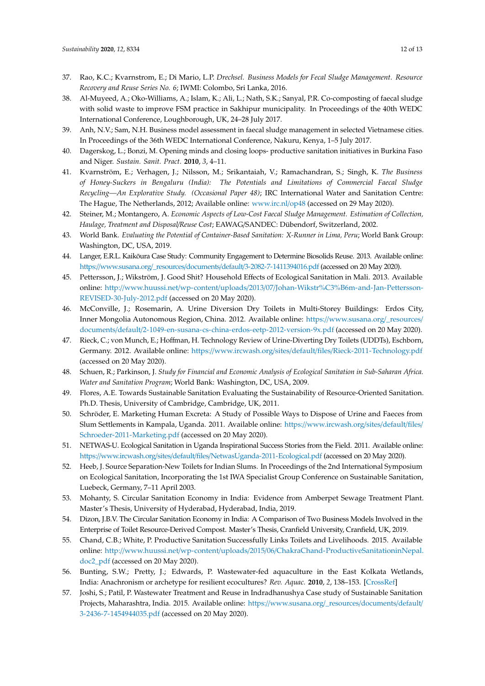- <span id="page-12-7"></span>37. Rao, K.C.; Kvarnstrom, E.; Di Mario, L.P. *Drechsel. Business Models for Fecal Sludge Management. Resource Recovery and Reuse Series No. 6*; IWMI: Colombo, Sri Lanka, 2016.
- <span id="page-12-8"></span>38. Al-Muyeed, A.; Oko-Williams, A.; Islam, K.; Ali, L.; Nath, S.K.; Sanyal, P.R. Co-composting of faecal sludge with solid waste to improve FSM practice in Sakhipur municipality. In Proceedings of the 40th WEDC International Conference, Loughborough, UK, 24–28 July 2017.
- 39. Anh, N.V.; Sam, N.H. Business model assessment in faecal sludge management in selected Vietnamese cities. In Proceedings of the 36th WEDC International Conference, Nakuru, Kenya, 1–5 July 2017.
- <span id="page-12-18"></span>40. Dagerskog, L.; Bonzi, M. Opening minds and closing loops- productive sanitation initiatives in Burkina Faso and Niger. *Sustain. Sanit. Pract.* **2010**, *3*, 4–11.
- <span id="page-12-11"></span>41. Kvarnström, E.; Verhagen, J.; Nilsson, M.; Srikantaiah, V.; Ramachandran, S.; Singh, K. *The Business of Honey-Suckers in Bengaluru (India): The Potentials and Limitations of Commercial Faecal Sludge Recycling—An Explorative Study. (Occasional Paper 48)*; IRC International Water and Sanitation Centre: The Hague, The Netherlands, 2012; Available online: [www.irc.nl](www.irc.nl/op48)/op48 (accessed on 29 May 2020).
- <span id="page-12-12"></span>42. Steiner, M.; Montangero, A. *Economic Aspects of Low-Cost Faecal Sludge Management. Estimation of Collection, Haulage, Treatment and Disposal*/*Reuse Cost*; EAWAG/SANDEC: Dübendorf, Switzerland, 2002.
- <span id="page-12-9"></span>43. World Bank. *Evaluating the Potential of Container-Based Sanitation: X-Runner in Lima, Peru*; World Bank Group: Washington, DC, USA, 2019.
- 44. Langer, E.R.L. Kaikōura Case Study: Community Engagement to Determine Biosolids Reuse. 2013. Available online: https://www.susana.org/\_resources/documents/default/[3-2082-7-1411394016.pdf](https://www.susana.org/_resources/documents/default/3-2082-7-1411394016.pdf) (accessed on 20 May 2020).
- <span id="page-12-13"></span>45. Pettersson, J.; Wikström, J. Good Shit? Household Effects of Ecological Sanitation in Mali. 2013. Available online: http://www.huussi.net/wp-content/uploads/2013/07/[Johan-Wikstr%C3%B6m-and-Jan-Pettersson-](http://www.huussi.net/wp-content/uploads/2013/07/Johan-Wikstr%C3%B6m-and-Jan-Pettersson-REVISED-30-July-2012.pdf)[REVISED-30-July-2012.pdf](http://www.huussi.net/wp-content/uploads/2013/07/Johan-Wikstr%C3%B6m-and-Jan-Pettersson-REVISED-30-July-2012.pdf) (accessed on 20 May 2020).
- <span id="page-12-16"></span>46. McConville, J.; Rosemarin, A. Urine Diversion Dry Toilets in Multi-Storey Buildings: Erdos City, Inner Mongolia Autonomous Region, China. 2012. Available online: https://[www.susana.org](https://www.susana.org/_resources/documents/default/2-1049-en-susana-cs-china-erdos-eetp-2012-version-9x.pdf)/\_resources/ documents/default/[2-1049-en-susana-cs-china-erdos-eetp-2012-version-9x.pdf](https://www.susana.org/_resources/documents/default/2-1049-en-susana-cs-china-erdos-eetp-2012-version-9x.pdf) (accessed on 20 May 2020).
- <span id="page-12-1"></span>47. Rieck, C.; von Munch, E.; Hoffman, H. Technology Review of Urine-Diverting Dry Toilets (UDDTs), Eschborn, Germany. 2012. Available online: https://www.ircwash.org/sites/default/files/[Rieck-2011-Technology.pdf](https://www.ircwash.org/sites/default/files/Rieck-2011-Technology.pdf) (accessed on 20 May 2020).
- <span id="page-12-17"></span>48. Schuen, R.; Parkinson, J. *Study for Financial and Economic Analysis of Ecological Sanitation in Sub-Saharan Africa. Water and Sanitation Program*; World Bank: Washington, DC, USA, 2009.
- <span id="page-12-14"></span>49. Flores, A.E. Towards Sustainable Sanitation Evaluating the Sustainability of Resource-Oriented Sanitation. Ph.D. Thesis, University of Cambridge, Cambridge, UK, 2011.
- <span id="page-12-2"></span>50. Schröder, E. Marketing Human Excreta: A Study of Possible Ways to Dispose of Urine and Faeces from Slum Settlements in Kampala, Uganda. 2011. Available online: https://[www.ircwash.org](https://www.ircwash.org/sites/default/files/Schroeder-2011-Marketing.pdf)/sites/default/files/ [Schroeder-2011-Marketing.pdf](https://www.ircwash.org/sites/default/files/Schroeder-2011-Marketing.pdf) (accessed on 20 May 2020).
- <span id="page-12-3"></span>51. NETWAS-U. Ecological Sanitation in Uganda Inspirational Success Stories from the Field. 2011. Available online: https://www.ircwash.org/sites/default/files/[NetwasUganda-2011-Ecological.pdf](https://www.ircwash.org/sites/default/files/NetwasUganda-2011-Ecological.pdf) (accessed on 20 May 2020).
- <span id="page-12-15"></span>52. Heeb, J. Source Separation-New Toilets for Indian Slums. In Proceedings of the 2nd International Symposium on Ecological Sanitation, Incorporating the 1st IWA Specialist Group Conference on Sustainable Sanitation, Luebeck, Germany, 7–11 April 2003.
- <span id="page-12-10"></span>53. Mohanty, S. Circular Sanitation Economy in India: Evidence from Amberpet Sewage Treatment Plant. Master's Thesis, University of Hyderabad, Hyderabad, India, 2019.
- <span id="page-12-0"></span>54. Dizon, J.B.V. The Circular Sanitation Economy in India: A Comparison of Two Business Models Involved in the Enterprise of Toilet Resource-Derived Compost. Master's Thesis, Cranfield University, Cranfield, UK, 2019.
- <span id="page-12-4"></span>55. Chand, C.B.; White, P. Productive Sanitation Successfully Links Toilets and Livelihoods. 2015. Available online: http://www.huussi.net/wp-content/uploads/2015/06/[ChakraChand-ProductiveSanitationinNepal.](http://www.huussi.net/wp-content/uploads/2015/06/ChakraChand-ProductiveSanitationinNepal.doc2_pdf) [doc2\\_pdf](http://www.huussi.net/wp-content/uploads/2015/06/ChakraChand-ProductiveSanitationinNepal.doc2_pdf) (accessed on 20 May 2020).
- <span id="page-12-5"></span>56. Bunting, S.W.; Pretty, J.; Edwards, P. Wastewater-fed aquaculture in the East Kolkata Wetlands, India: Anachronism or archetype for resilient ecocultures? *Rev. Aquac.* **2010**, *2*, 138–153. [\[CrossRef\]](http://dx.doi.org/10.1111/j.1753-5131.2010.01031.x)
- <span id="page-12-6"></span>57. Joshi, S.; Patil, P. Wastewater Treatment and Reuse in Indradhanushya Case study of Sustainable Sanitation Projects, Maharashtra, India. 2015. Available online: https://[www.susana.org](https://www.susana.org/_resources/documents/default/3-2436-7-1454944035.pdf)/\_resources/documents/default/ [3-2436-7-1454944035.pdf](https://www.susana.org/_resources/documents/default/3-2436-7-1454944035.pdf) (accessed on 20 May 2020).